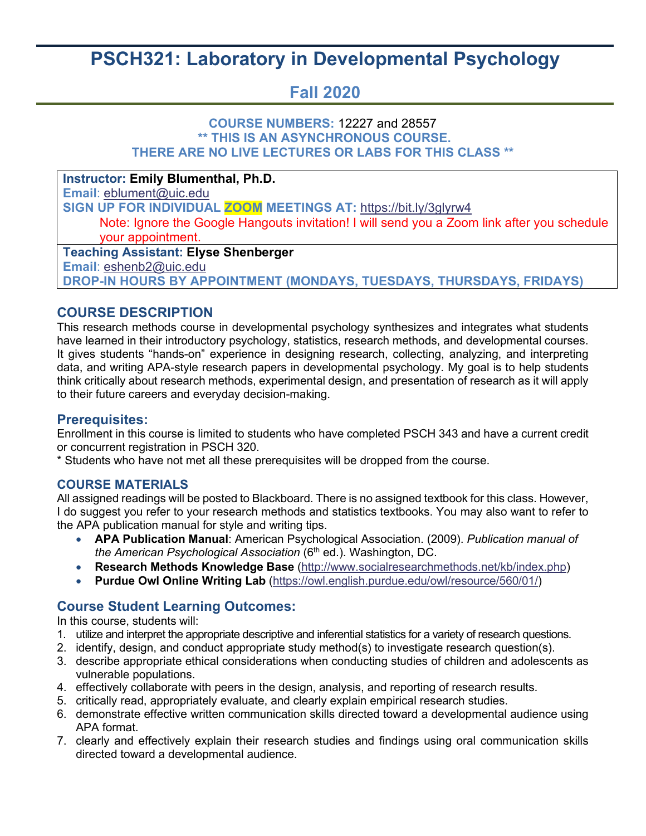# **PSCH321: Laboratory in Developmental Psychology**

# **Fall 2020**

### **COURSE NUMBERS:** 12227 and 28557 **\*\* THIS IS AN ASYNCHRONOUS COURSE. THERE ARE NO LIVE LECTURES OR LABS FOR THIS CLASS \*\***

**Instructor: Emily Blumenthal, Ph.D. Email**: [eblument@uic.edu](mailto:eblument@uic.edu) **SIGN UP FOR INDIVIDUAL ZOOM MEETINGS AT:** <https://bit.ly/3glyrw4> Note: Ignore the Google Hangouts invitation! I will send you a Zoom link after you schedule your appointment. **Teaching Assistant: Elyse Shenberger Email**: [eshenb2@uic.edu](mailto:eshenb2@uic.edu) **DROP-IN HOURS BY APPOINTMENT (MONDAYS, TUESDAYS, THURSDAYS, FRIDAYS)**

## **COURSE DESCRIPTION**

This research methods course in developmental psychology synthesizes and integrates what students have learned in their introductory psychology, statistics, research methods, and developmental courses. It gives students "hands-on" experience in designing research, collecting, analyzing, and interpreting data, and writing APA-style research papers in developmental psychology. My goal is to help students think critically about research methods, experimental design, and presentation of research as it will apply to their future careers and everyday decision-making.

### **Prerequisites:**

Enrollment in this course is limited to students who have completed PSCH 343 and have a current credit or concurrent registration in PSCH 320.

\* Students who have not met all these prerequisites will be dropped from the course.

### **COURSE MATERIALS**

All assigned readings will be posted to Blackboard. There is no assigned textbook for this class. However, I do suggest you refer to your research methods and statistics textbooks. You may also want to refer to the APA publication manual for style and writing tips.

- **APA Publication Manual**: American Psychological Association. (2009). *Publication manual of the American Psychological Association* (6<sup>th</sup> ed.). Washington, DC.
- **Research Methods Knowledge Base** [\(http://www.socialresearchmethods.net/kb/index.php\)](http://www.socialresearchmethods.net/kb/index.php)
- **Purdue Owl Online Writing Lab** [\(https://owl.english.purdue.edu/owl/resource/560/01/\)](https://owl.english.purdue.edu/owl/resource/560/01/)

## **Course Student Learning Outcomes:**

In this course, students will:

- 1. utilize and interpret the appropriate descriptive and inferential statistics for a variety of research questions.
- 2. identify, design, and conduct appropriate study method(s) to investigate research question(s).
- 3. describe appropriate ethical considerations when conducting studies of children and adolescents as vulnerable populations.
- 4. effectively collaborate with peers in the design, analysis, and reporting of research results.
- 5. critically read, appropriately evaluate, and clearly explain empirical research studies.
- 6. demonstrate effective written communication skills directed toward a developmental audience using APA format.
- 7. clearly and effectively explain their research studies and findings using oral communication skills directed toward a developmental audience.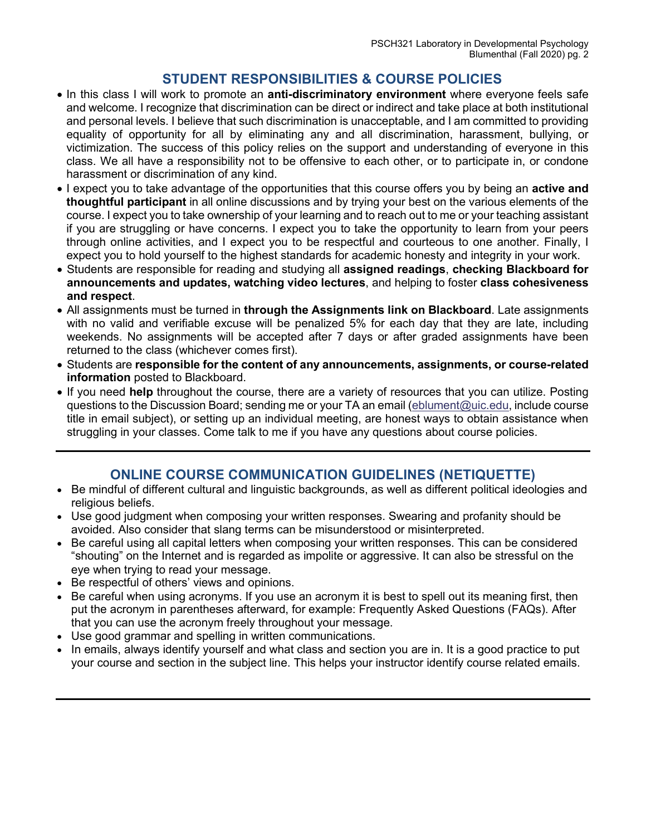# **STUDENT RESPONSIBILITIES & COURSE POLICIES**

- In this class I will work to promote an **anti-discriminatory environment** where everyone feels safe and welcome. I recognize that discrimination can be direct or indirect and take place at both institutional and personal levels. I believe that such discrimination is unacceptable, and I am committed to providing equality of opportunity for all by eliminating any and all discrimination, harassment, bullying, or victimization. The success of this policy relies on the support and understanding of everyone in this class. We all have a responsibility not to be offensive to each other, or to participate in, or condone harassment or discrimination of any kind.
- I expect you to take advantage of the opportunities that this course offers you by being an **active and thoughtful participant** in all online discussions and by trying your best on the various elements of the course. I expect you to take ownership of your learning and to reach out to me or your teaching assistant if you are struggling or have concerns. I expect you to take the opportunity to learn from your peers through online activities, and I expect you to be respectful and courteous to one another. Finally, I expect you to hold yourself to the highest standards for academic honesty and integrity in your work.
- Students are responsible for reading and studying all **assigned readings**, **checking Blackboard for announcements and updates, watching video lectures**, and helping to foster **class cohesiveness and respect**.
- All assignments must be turned in **through the Assignments link on Blackboard**. Late assignments with no valid and verifiable excuse will be penalized 5% for each day that they are late, including weekends. No assignments will be accepted after 7 days or after graded assignments have been returned to the class (whichever comes first).
- Students are **responsible for the content of any announcements, assignments, or course-related information** posted to Blackboard.
- If you need **help** throughout the course, there are a variety of resources that you can utilize. Posting questions to the Discussion Board; sending me or your TA an email [\(eblument@uic.edu,](mailto:eblument@uic.edu)) include course title in email subject), or setting up an individual meeting, are honest ways to obtain assistance when struggling in your classes. Come talk to me if you have any questions about course policies.

# **ONLINE COURSE COMMUNICATION GUIDELINES (NETIQUETTE)**

- Be mindful of different cultural and linguistic backgrounds, as well as different political ideologies and religious beliefs.
- Use good judgment when composing your written responses. Swearing and profanity should be avoided. Also consider that slang terms can be misunderstood or misinterpreted.
- Be careful using all capital letters when composing your written responses. This can be considered "shouting" on the Internet and is regarded as impolite or aggressive. It can also be stressful on the eye when trying to read your message.
- Be respectful of others' views and opinions.
- Be careful when using acronyms. If you use an acronym it is best to spell out its meaning first, then put the acronym in parentheses afterward, for example: Frequently Asked Questions (FAQs). After that you can use the acronym freely throughout your message.
- Use good grammar and spelling in written communications.
- In emails, always identify yourself and what class and section you are in. It is a good practice to put your course and section in the subject line. This helps your instructor identify course related emails.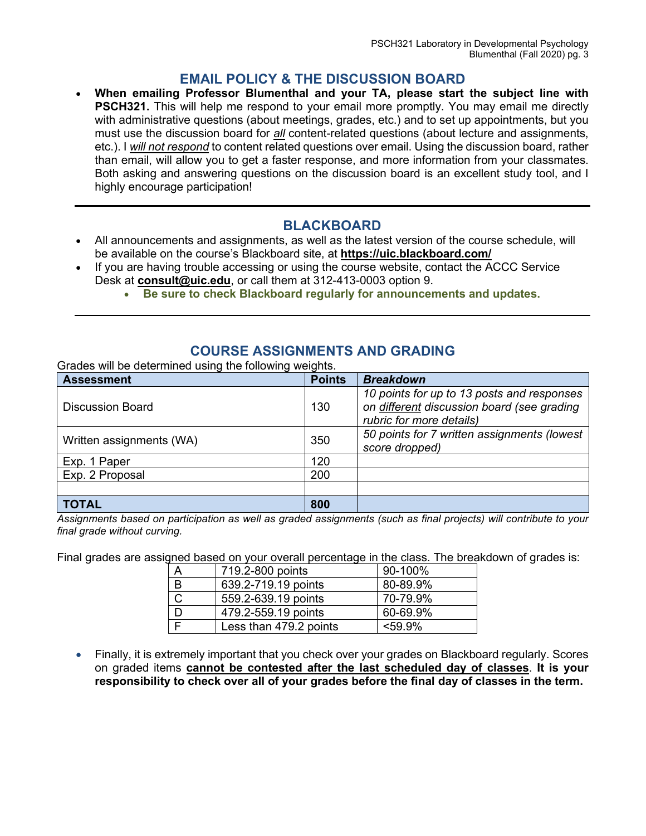## **EMAIL POLICY & THE DISCUSSION BOARD**

• **When emailing Professor Blumenthal and your TA, please start the subject line with PSCH321.** This will help me respond to your email more promptly. You may email me directly with administrative questions (about meetings, grades, etc.) and to set up appointments, but you must use the discussion board for *all* content-related questions (about lecture and assignments, etc.). I *will not respond* to content related questions over email. Using the discussion board, rather than email, will allow you to get a faster response, and more information from your classmates. Both asking and answering questions on the discussion board is an excellent study tool, and I highly encourage participation!

## **BLACKBOARD**

- All announcements and assignments, as well as the latest version of the course schedule, will be available on the course's Blackboard site, at **<https://uic.blackboard.com/>**
- If you are having trouble accessing or using the course website, contact the ACCC Service Desk at **[consult@uic.edu](mailto:consult@uic.edu)**, or call them at 312-413-0003 option 9.
	- **Be sure to check Blackboard regularly for announcements and updates.**

## **COURSE ASSIGNMENTS AND GRADING**

Grades will be determined using the following weights.

| <b>Assessment</b>        | <b>Points</b> | <b>Breakdown</b>                                                                                                     |
|--------------------------|---------------|----------------------------------------------------------------------------------------------------------------------|
| Discussion Board         | 130           | 10 points for up to 13 posts and responses<br>on different discussion board (see grading<br>rubric for more details) |
| Written assignments (WA) | 350           | 50 points for 7 written assignments (lowest<br>score dropped)                                                        |
| Exp. 1 Paper             | 120           |                                                                                                                      |
| Exp. 2 Proposal          | 200           |                                                                                                                      |
|                          |               |                                                                                                                      |
| <b>TOTAL</b>             | 800           |                                                                                                                      |

*Assignments based on participation as well as graded assignments (such as final projects) will contribute to your final grade without curving.* 

Final grades are assigned based on your overall percentage in the class. The breakdown of grades is:

| $\overline{\mathsf{A}}$ | 719.2-800 points       | 90-100%   |
|-------------------------|------------------------|-----------|
| B                       | 639.2-719.19 points    | 80-89.9%  |
| $\mathsf C$             | 559.2-639.19 points    | 70-79.9%  |
| D                       | 479.2-559.19 points    | 60-69.9%  |
|                         | Less than 479.2 points | $<$ 59.9% |

• Finally, it is extremely important that you check over your grades on Blackboard regularly. Scores on graded items **cannot be contested after the last scheduled day of classes**. **It is your responsibility to check over all of your grades before the final day of classes in the term.**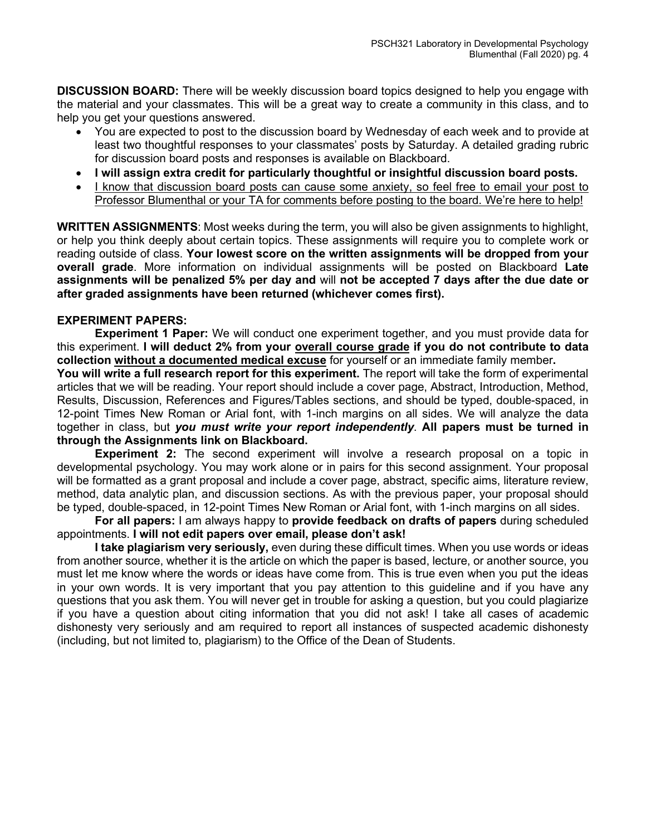**DISCUSSION BOARD:** There will be weekly discussion board topics designed to help you engage with the material and your classmates. This will be a great way to create a community in this class, and to help you get your questions answered.

- You are expected to post to the discussion board by Wednesday of each week and to provide at least two thoughtful responses to your classmates' posts by Saturday. A detailed grading rubric for discussion board posts and responses is available on Blackboard.
- **I will assign extra credit for particularly thoughtful or insightful discussion board posts.**
- I know that discussion board posts can cause some anxiety, so feel free to email your post to Professor Blumenthal or your TA for comments before posting to the board. We're here to help!

**WRITTEN ASSIGNMENTS**: Most weeks during the term, you will also be given assignments to highlight, or help you think deeply about certain topics. These assignments will require you to complete work or reading outside of class. **Your lowest score on the written assignments will be dropped from your overall grade**. More information on individual assignments will be posted on Blackboard **Late assignments will be penalized 5% per day and** will **not be accepted 7 days after the due date or after graded assignments have been returned (whichever comes first).**

#### **EXPERIMENT PAPERS:**

**Experiment 1 Paper:** We will conduct one experiment together, and you must provide data for this experiment. **I will deduct 2% from your overall course grade if you do not contribute to data collection without a documented medical excuse** for yourself or an immediate family member**.** 

**You will write a full research report for this experiment.** The report will take the form of experimental articles that we will be reading. Your report should include a cover page, Abstract, Introduction, Method, Results, Discussion, References and Figures/Tables sections, and should be typed, double-spaced, in 12-point Times New Roman or Arial font, with 1-inch margins on all sides. We will analyze the data together in class, but *you must write your report independently*. **All papers must be turned in through the Assignments link on Blackboard.**

**Experiment 2:** The second experiment will involve a research proposal on a topic in developmental psychology. You may work alone or in pairs for this second assignment. Your proposal will be formatted as a grant proposal and include a cover page, abstract, specific aims, literature review, method, data analytic plan, and discussion sections. As with the previous paper, your proposal should be typed, double-spaced, in 12-point Times New Roman or Arial font, with 1-inch margins on all sides.

**For all papers:** I am always happy to **provide feedback on drafts of papers** during scheduled appointments. **I will not edit papers over email, please don't ask!** 

**I take plagiarism very seriously,** even during these difficult times. When you use words or ideas from another source, whether it is the article on which the paper is based, lecture, or another source, you must let me know where the words or ideas have come from. This is true even when you put the ideas in your own words. It is very important that you pay attention to this guideline and if you have any questions that you ask them. You will never get in trouble for asking a question, but you could plagiarize if you have a question about citing information that you did not ask! I take all cases of academic dishonesty very seriously and am required to report all instances of suspected academic dishonesty (including, but not limited to, plagiarism) to the Office of the Dean of Students.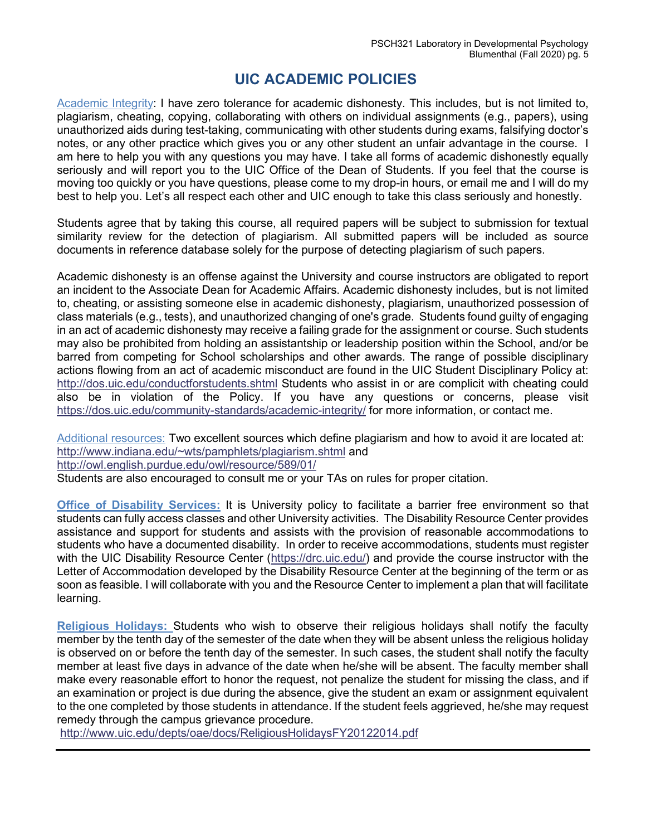# **UIC ACADEMIC POLICIES**

Academic Integrity: I have zero tolerance for academic dishonesty. This includes, but is not limited to, plagiarism, cheating, copying, collaborating with others on individual assignments (e.g., papers), using unauthorized aids during test-taking, communicating with other students during exams, falsifying doctor's notes, or any other practice which gives you or any other student an unfair advantage in the course. I am here to help you with any questions you may have. I take all forms of academic dishonestly equally seriously and will report you to the UIC Office of the Dean of Students. If you feel that the course is moving too quickly or you have questions, please come to my drop-in hours, or email me and I will do my best to help you. Let's all respect each other and UIC enough to take this class seriously and honestly.

Students agree that by taking this course, all required papers will be subject to submission for textual similarity review for the detection of plagiarism. All submitted papers will be included as source documents in reference database solely for the purpose of detecting plagiarism of such papers.

Academic dishonesty is an offense against the University and course instructors are obligated to report an incident to the Associate Dean for Academic Affairs. Academic dishonesty includes, but is not limited to, cheating, or assisting someone else in academic dishonesty, plagiarism, unauthorized possession of class materials (e.g., tests), and unauthorized changing of one's grade. Students found guilty of engaging in an act of academic dishonesty may receive a failing grade for the assignment or course. Such students may also be prohibited from holding an assistantship or leadership position within the School, and/or be barred from competing for School scholarships and other awards. The range of possible disciplinary actions flowing from an act of academic misconduct are found in the UIC Student Disciplinary Policy at: <http://dos.uic.edu/conductforstudents.shtml> Students who assist in or are complicit with cheating could also be in violation of the Policy. If you have any questions or concerns, please visit <https://dos.uic.edu/community-standards/academic-integrity/> for more information, or contact me.

Additional resources: Two excellent sources which define plagiarism and how to avoid it are located at: [http://www.indiana.edu/~wts/pamphlets/plagiarism.shtml](http://www.indiana.edu/%7Ewts/pamphlets/plagiarism.shtml) and <http://owl.english.purdue.edu/owl/resource/589/01/>

Students are also encouraged to consult me or your TAs on rules for proper citation.

**Office of Disability Services:** It is University policy to facilitate a barrier free environment so that students can fully access classes and other University activities. The Disability Resource Center provides assistance and support for students and assists with the provision of reasonable accommodations to students who have a documented disability. In order to receive accommodations, students must register with the UIC Disability Resource Center [\(https://drc.uic.edu/\)](https://drc.uic.edu/) and provide the course instructor with the Letter of Accommodation developed by the Disability Resource Center at the beginning of the term or as soon as feasible. I will collaborate with you and the Resource Center to implement a plan that will facilitate learning.

**Religious Holidays:** Students who wish to observe their religious holidays shall notify the faculty member by the tenth day of the semester of the date when they will be absent unless the religious holiday is observed on or before the tenth day of the semester. In such cases, the student shall notify the faculty member at least five days in advance of the date when he/she will be absent. The faculty member shall make every reasonable effort to honor the request, not penalize the student for missing the class, and if an examination or project is due during the absence, give the student an exam or assignment equivalent to the one completed by those students in attendance. If the student feels aggrieved, he/she may request remedy through the campus grievance procedure.

<http://www.uic.edu/depts/oae/docs/ReligiousHolidaysFY20122014.pdf>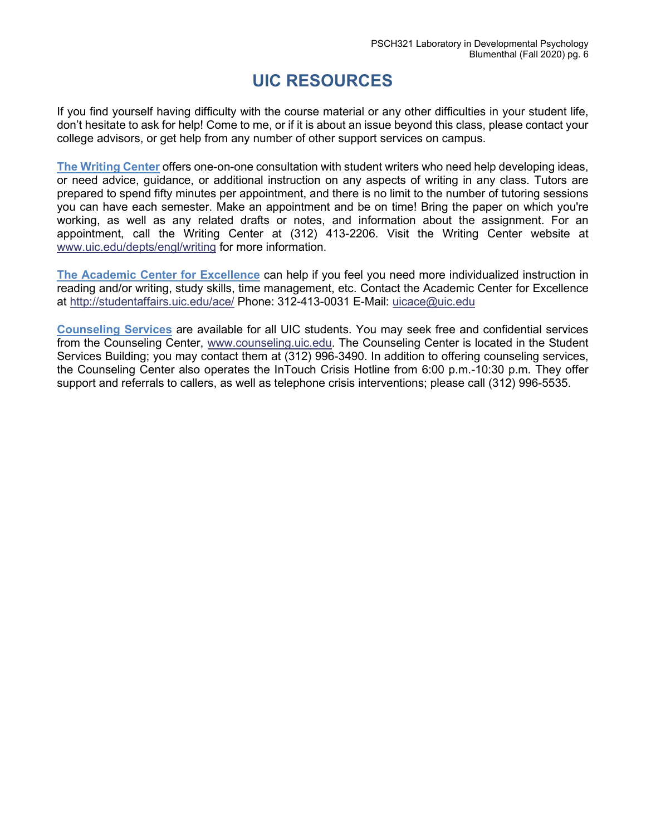# **UIC RESOURCES**

If you find yourself having difficulty with the course material or any other difficulties in your student life, don't hesitate to ask for help! Come to me, or if it is about an issue beyond this class, please contact your college advisors, or get help from any number of other support services on campus.

**The Writing Center** offers one-on-one consultation with student writers who need help developing ideas, or need advice, guidance, or additional instruction on any aspects of writing in any class. Tutors are prepared to spend fifty minutes per appointment, and there is no limit to the number of tutoring sessions you can have each semester. Make an appointment and be on time! Bring the paper on which you're working, as well as any related drafts or notes, and information about the assignment. For an appointment, call the Writing Center at (312) 413-2206. Visit the Writing Center website at [www.uic.edu/depts/engl/writing](http://www.uic.edu/depts/engl/writing) for more information.

**The Academic Center for Excellence** can help if you feel you need more individualized instruction in reading and/or writing, study skills, time management, etc. Contact the Academic Center for Excellence at <http://studentaffairs.uic.edu/ace/> Phone: 312-413-0031 E-Mail: [uicace@uic.edu](mailto:uicace@uic.edu)

**Counseling Services** are available for all UIC students. You may seek free and confidential services from the Counseling Center, [www.counseling.uic.edu.](http://www.counseling.uic.edu/) The Counseling Center is located in the Student Services Building; you may contact them at (312) 996-3490. In addition to offering counseling services, the Counseling Center also operates the InTouch Crisis Hotline from 6:00 p.m.-10:30 p.m. They offer support and referrals to callers, as well as telephone crisis interventions; please call (312) 996-5535.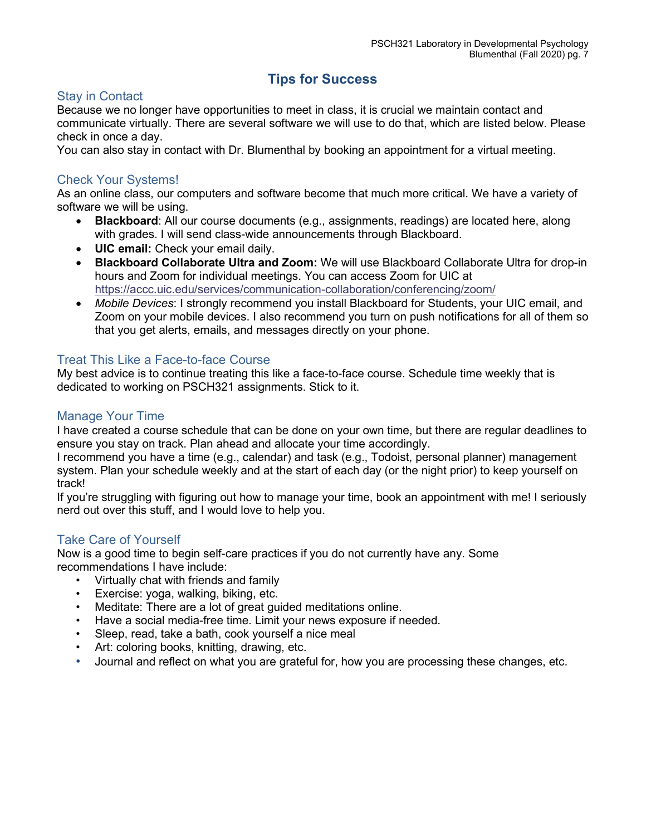# **Tips for Success**

### Stay in Contact

Because we no longer have opportunities to meet in class, it is crucial we maintain contact and communicate virtually. There are several software we will use to do that, which are listed below. Please check in once a day.

You can also stay in contact with Dr. Blumenthal by booking an appointment for a virtual meeting.

### Check Your Systems!

As an online class, our computers and software become that much more critical. We have a variety of software we will be using.

- **Blackboard**: All our course documents (e.g., assignments, readings) are located here, along with grades. I will send class-wide announcements through Blackboard.
- **UIC email:** Check your email daily.
- **Blackboard Collaborate Ultra and Zoom:** We will use Blackboard Collaborate Ultra for drop-in hours and Zoom for individual meetings. You can access Zoom for UIC at <https://accc.uic.edu/services/communication-collaboration/conferencing/zoom/>
- *Mobile Devices*: I strongly recommend you install Blackboard for Students, your UIC email, and Zoom on your mobile devices. I also recommend you turn on push notifications for all of them so that you get alerts, emails, and messages directly on your phone.

### Treat This Like a Face-to-face Course

My best advice is to continue treating this like a face-to-face course. Schedule time weekly that is dedicated to working on PSCH321 assignments. Stick to it.

### Manage Your Time

I have created a course schedule that can be done on your own time, but there are regular deadlines to ensure you stay on track. Plan ahead and allocate your time accordingly.

I recommend you have a time (e.g., calendar) and task (e.g., Todoist, personal planner) management system. Plan your schedule weekly and at the start of each day (or the night prior) to keep yourself on track!

If you're struggling with figuring out how to manage your time, book an appointment with me! I seriously nerd out over this stuff, and I would love to help you.

### Take Care of Yourself

Now is a good time to begin self-care practices if you do not currently have any. Some recommendations I have include:

- Virtually chat with friends and family
- Exercise: yoga, walking, biking, etc.
- Meditate: There are a lot of great guided meditations online.
- Have a social media-free time. Limit your news exposure if needed.
- Sleep, read, take a bath, cook yourself a nice meal
- Art: coloring books, knitting, drawing, etc.
- Journal and reflect on what you are grateful for, how you are processing these changes, etc.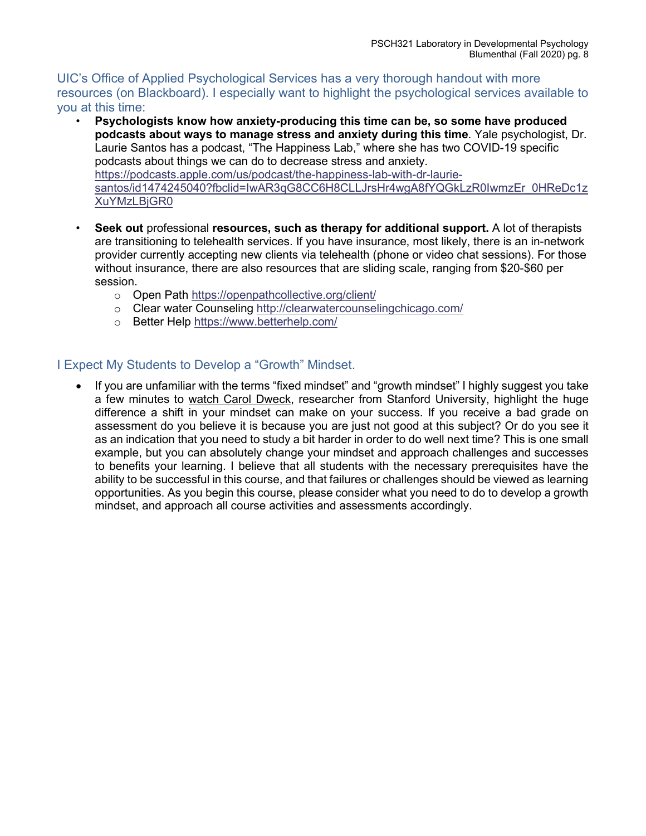UIC's Office of Applied Psychological Services has a very thorough handout with more resources (on Blackboard). I especially want to highlight the psychological services available to you at this time:

- **Psychologists know how anxiety-producing this time can be, so some have produced podcasts about ways to manage stress and anxiety during this time**. Yale psychologist, Dr. Laurie Santos has a podcast, "The Happiness Lab," where she has two COVID-19 specific podcasts about things we can do to decrease stress and anxiety. [https://podcasts.apple.com/us/podcast/the-happiness-lab-with-dr-laurie](https://podcasts.apple.com/us/podcast/the-happiness-lab-with-dr-laurie-santos/id1474245040?fbclid=IwAR3qG8CC6H8CLLJrsHr4wgA8fYQGkLzR0IwmzEr_0HReDc1zXuYMzLBjGR0)[santos/id1474245040?fbclid=IwAR3qG8CC6H8CLLJrsHr4wgA8fYQGkLzR0IwmzEr\\_0HReDc1z](https://podcasts.apple.com/us/podcast/the-happiness-lab-with-dr-laurie-santos/id1474245040?fbclid=IwAR3qG8CC6H8CLLJrsHr4wgA8fYQGkLzR0IwmzEr_0HReDc1zXuYMzLBjGR0) [XuYMzLBjGR0](https://podcasts.apple.com/us/podcast/the-happiness-lab-with-dr-laurie-santos/id1474245040?fbclid=IwAR3qG8CC6H8CLLJrsHr4wgA8fYQGkLzR0IwmzEr_0HReDc1zXuYMzLBjGR0)
- **Seek out** professional **resources, such as therapy for additional support.** A lot of therapists are transitioning to telehealth services. If you have insurance, most likely, there is an in-network provider currently accepting new clients via telehealth (phone or video chat sessions). For those without insurance, there are also resources that are sliding scale, ranging from \$20-\$60 per session.
	- o Open Path<https://openpathcollective.org/client/>
	- o Clear water Counseling<http://clearwatercounselingchicago.com/>
	- o Better Help<https://www.betterhelp.com/>

### I Expect My Students to Develop a "Growth" Mindset.

• If you are unfamiliar with the terms "fixed mindset" and "growth mindset" I highly suggest you take a few minutes to [watch Carol Dweck,](https://www.ted.com/talks/carol_dweck_the_power_of_believing_that_you_can_improve) researcher from Stanford University, highlight the huge difference a shift in your mindset can make on your success. If you receive a bad grade on assessment do you believe it is because you are just not good at this subject? Or do you see it as an indication that you need to study a bit harder in order to do well next time? This is one small example, but you can absolutely change your mindset and approach challenges and successes to benefits your learning. I believe that all students with the necessary prerequisites have the ability to be successful in this course, and that failures or challenges should be viewed as learning opportunities. As you begin this course, please consider what you need to do to develop a growth mindset, and approach all course activities and assessments accordingly.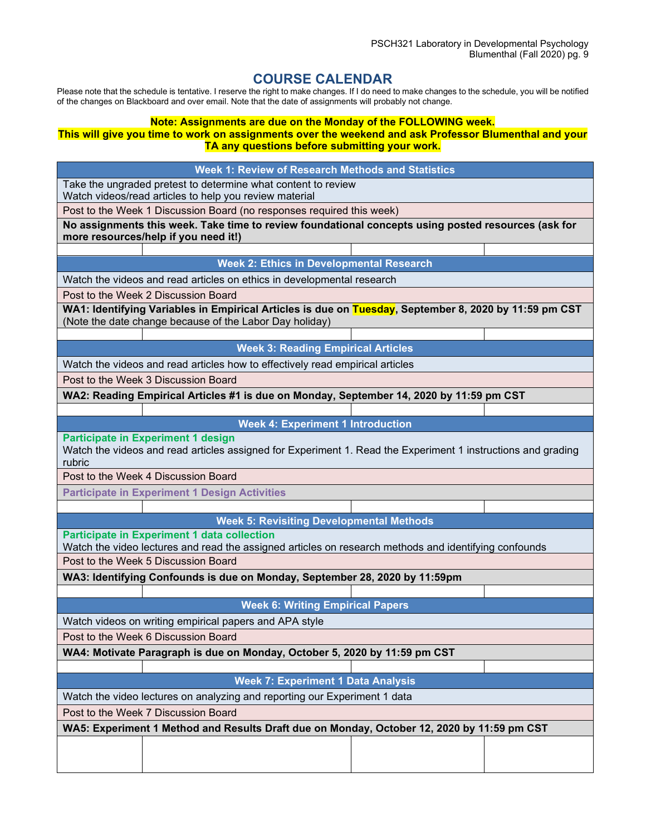### **COURSE CALENDAR**

Please note that the schedule is tentative. I reserve the right to make changes. If I do need to make changes to the schedule, you will be notified of the changes on Blackboard and over email. Note that the date of assignments will probably not change.

### **Note: Assignments are due on the Monday of the FOLLOWING week.**

#### **This will give you time to work on assignments over the weekend and ask Professor Blumenthal and your TA any questions before submitting your work.**

| Week 1: Review of Research Methods and Statistics                                                                                                         |  |  |  |  |
|-----------------------------------------------------------------------------------------------------------------------------------------------------------|--|--|--|--|
| Take the ungraded pretest to determine what content to review                                                                                             |  |  |  |  |
| Watch videos/read articles to help you review material                                                                                                    |  |  |  |  |
| Post to the Week 1 Discussion Board (no responses required this week)                                                                                     |  |  |  |  |
| No assignments this week. Take time to review foundational concepts using posted resources (ask for                                                       |  |  |  |  |
| more resources/help if you need it!)                                                                                                                      |  |  |  |  |
| <b>Week 2: Ethics in Developmental Research</b>                                                                                                           |  |  |  |  |
| Watch the videos and read articles on ethics in developmental research                                                                                    |  |  |  |  |
| Post to the Week 2 Discussion Board                                                                                                                       |  |  |  |  |
| WA1: Identifying Variables in Empirical Articles is due on Tuesday, September 8, 2020 by 11:59 pm CST                                                     |  |  |  |  |
| (Note the date change because of the Labor Day holiday)                                                                                                   |  |  |  |  |
|                                                                                                                                                           |  |  |  |  |
| <b>Week 3: Reading Empirical Articles</b>                                                                                                                 |  |  |  |  |
| Watch the videos and read articles how to effectively read empirical articles                                                                             |  |  |  |  |
| Post to the Week 3 Discussion Board                                                                                                                       |  |  |  |  |
| WA2: Reading Empirical Articles #1 is due on Monday, September 14, 2020 by 11:59 pm CST                                                                   |  |  |  |  |
|                                                                                                                                                           |  |  |  |  |
| <b>Week 4: Experiment 1 Introduction</b>                                                                                                                  |  |  |  |  |
| <b>Participate in Experiment 1 design</b><br>Watch the videos and read articles assigned for Experiment 1. Read the Experiment 1 instructions and grading |  |  |  |  |
| rubric                                                                                                                                                    |  |  |  |  |
| Post to the Week 4 Discussion Board                                                                                                                       |  |  |  |  |
| <b>Participate in Experiment 1 Design Activities</b>                                                                                                      |  |  |  |  |
|                                                                                                                                                           |  |  |  |  |
| <b>Week 5: Revisiting Developmental Methods</b>                                                                                                           |  |  |  |  |
| Participate in Experiment 1 data collection<br>Watch the video lectures and read the assigned articles on research methods and identifying confounds      |  |  |  |  |
| Post to the Week 5 Discussion Board                                                                                                                       |  |  |  |  |
| WA3: Identifying Confounds is due on Monday, September 28, 2020 by 11:59pm                                                                                |  |  |  |  |
|                                                                                                                                                           |  |  |  |  |
| <b>Week 6: Writing Empirical Papers</b>                                                                                                                   |  |  |  |  |
| Watch videos on writing empirical papers and APA style                                                                                                    |  |  |  |  |
| Post to the Week 6 Discussion Board                                                                                                                       |  |  |  |  |
| WA4: Motivate Paragraph is due on Monday, October 5, 2020 by 11:59 pm CST                                                                                 |  |  |  |  |
|                                                                                                                                                           |  |  |  |  |
| <b>Week 7: Experiment 1 Data Analysis</b>                                                                                                                 |  |  |  |  |
| Watch the video lectures on analyzing and reporting our Experiment 1 data                                                                                 |  |  |  |  |
| Post to the Week 7 Discussion Board                                                                                                                       |  |  |  |  |
| WA5: Experiment 1 Method and Results Draft due on Monday, October 12, 2020 by 11:59 pm CST                                                                |  |  |  |  |
|                                                                                                                                                           |  |  |  |  |
|                                                                                                                                                           |  |  |  |  |
|                                                                                                                                                           |  |  |  |  |